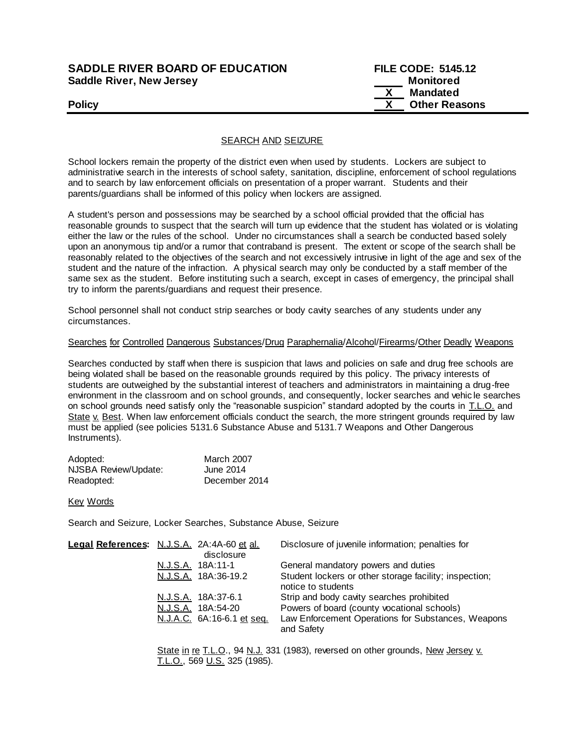# **SADDLE RIVER BOARD OF EDUCATION Saddle River, New Jersey**

| <b>SADDLE RIVER BOARD OF EDUCATION</b> | <b>FILE CODE: 5145.12</b> |
|----------------------------------------|---------------------------|
| Saddle River, New Jersey               | Monitored                 |
|                                        | Mandated                  |
| <b>Policy</b>                          | <b>Other Reasons</b>      |

## SEARCH AND SEIZURE

School lockers remain the property of the district even when used by students. Lockers are subject to administrative search in the interests of school safety, sanitation, discipline, enforcement of school regulations and to search by law enforcement officials on presentation of a proper warrant. Students and their parents/guardians shall be informed of this policy when lockers are assigned.

A student's person and possessions may be searched by a school official provided that the official has reasonable grounds to suspect that the search will turn up evidence that the student has violated or is violating either the law or the rules of the school. Under no circumstances shall a search be conducted based solely upon an anonymous tip and/or a rumor that contraband is present. The extent or scope of the search shall be reasonably related to the objectives of the search and not excessively intrusive in light of the age and sex of the student and the nature of the infraction. A physical search may only be conducted by a staff member of the same sex as the student. Before instituting such a search, except in cases of emergency, the principal shall try to inform the parents/guardians and request their presence.

School personnel shall not conduct strip searches or body cavity searches of any students under any circumstances.

### Searches for Controlled Dangerous Substances/Drug Paraphernalia/Alcohol/Firearms/Other Deadly Weapons

Searches conducted by staff when there is suspicion that laws and policies on safe and drug free schools are being violated shall be based on the reasonable grounds required by this policy. The privacy interests of students are outweighed by the substantial interest of teachers and administrators in maintaining a drug-free environment in the classroom and on school grounds, and consequently, locker searches and vehic le searches on school grounds need satisfy only the "reasonable suspicion" standard adopted by the courts in T.L.O. and State v. Best. When law enforcement officials conduct the search, the more stringent grounds required by law must be applied (see policies 5131.6 Substance Abuse and 5131.7 Weapons and Other Dangerous Instruments).

| Adopted:             | <b>March 2007</b> |
|----------------------|-------------------|
| NJSBA Review/Update: | June 2014         |
| Readopted:           | December 2014     |

Key Words

Search and Seizure, Locker Searches, Substance Abuse, Seizure

| Legal References: N.J.S.A. 2A:4A-60 et al. | disclosure                 | Disclosure of juvenile information; penalties for                            |
|--------------------------------------------|----------------------------|------------------------------------------------------------------------------|
|                                            | N.J.S.A. 18A:11-1          | General mandatory powers and duties                                          |
|                                            | N.J.S.A. 18A:36-19.2       | Student lockers or other storage facility; inspection;<br>notice to students |
|                                            | N.J.S.A. 18A:37-6.1        | Strip and body cavity searches prohibited                                    |
|                                            | N.J.S.A. 18A:54-20         | Powers of board (county vocational schools)                                  |
|                                            | N.J.A.C. 6A:16-6.1 et seq. | Law Enforcement Operations for Substances, Weapons<br>and Safety             |
|                                            |                            |                                                                              |

State in re T.L.O., 94 N.J. 331 (1983), reversed on other grounds, New Jersey v. T.L.O., 569 U.S. 325 (1985).